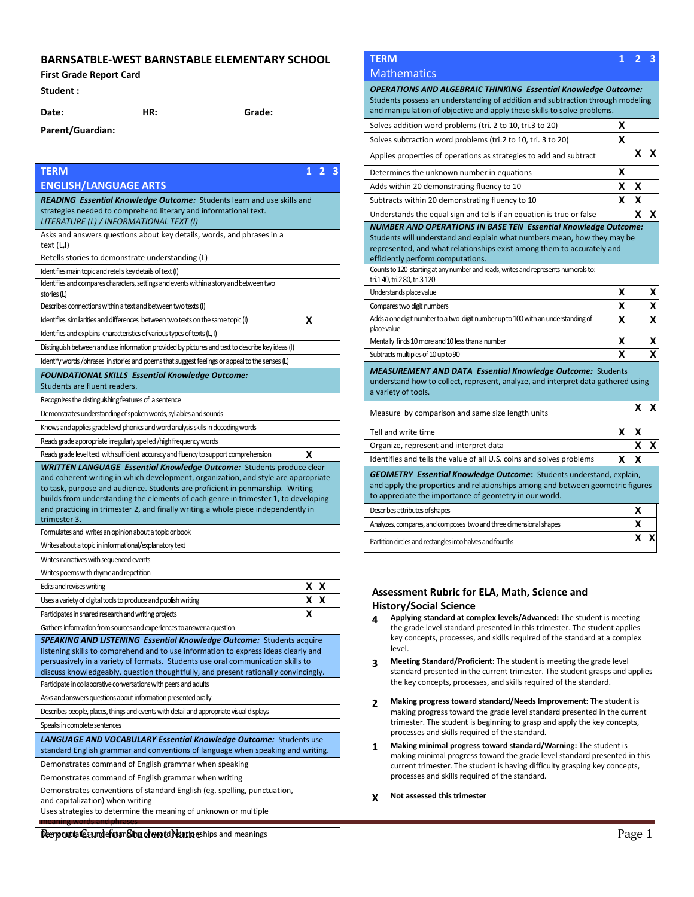## **BARNSATBLE-WEST BARNSTABLE ELEMENTARY SCHOOL**

### **First Grade Report Card**

**Parent/Guardian:**

### **Student :**

**Date: HR: Grade:**

| <b>TERM</b>                                                                                                                                                       | 1 | $\overline{2}$ | 3 | Determines the unknown number in equations                                                                                                              | X      |                    |  |
|-------------------------------------------------------------------------------------------------------------------------------------------------------------------|---|----------------|---|---------------------------------------------------------------------------------------------------------------------------------------------------------|--------|--------------------|--|
| <b>ENGLISH/LANGUAGE ARTS</b>                                                                                                                                      |   |                |   | Adds within 20 demonstrating fluency to 10                                                                                                              | X      | x                  |  |
| <b>READING Essential Knowledge Outcome:</b> Students learn and use skills and                                                                                     |   |                |   | Subtracts within 20 demonstrating fluency to 10                                                                                                         | X      | $\pmb{\mathsf{X}}$ |  |
| strategies needed to comprehend literary and informational text.                                                                                                  |   |                |   | Understands the equal sign and tells if an equation is true or false                                                                                    |        | X                  |  |
| LITERATURE (L) / INFORMATIONAL TEXT (I)                                                                                                                           |   |                |   | <b>NUMBER AND OPERATIONS IN BASE TEN Essential Knowledge Outcome:</b>                                                                                   |        |                    |  |
| Asks and answers questions about key details, words, and phrases in a<br>text (L,I)                                                                               |   |                |   | Students will understand and explain what numbers mean, how they may be                                                                                 |        |                    |  |
| Retells stories to demonstrate understanding (L)                                                                                                                  |   |                |   | represented, and what relationships exist among them to accurately and<br>efficiently perform computations.                                             |        |                    |  |
| Identifies main topic and retells key details of text (I)                                                                                                         |   |                |   | Counts to 120 starting at any number and reads, writes and represents numerals to:                                                                      |        |                    |  |
| Identifies and compares characters, settings and events within a story and between two                                                                            |   |                |   | tri.140, tri.280, tri.3120                                                                                                                              |        |                    |  |
| stories (L)                                                                                                                                                       |   |                |   | Understands place value                                                                                                                                 | X      |                    |  |
| Describes connections within a text and between two texts (I)                                                                                                     |   |                |   | Compares two digit numbers                                                                                                                              | X      |                    |  |
| Identifies similarities and differences between two texts on the same topic (I)                                                                                   | X |                |   | Adds a one digit number to a two digit number up to 100 with an understanding of<br>place value                                                         | X      |                    |  |
| Identifies and explains characteristics of various types of texts (L, I)                                                                                          |   |                |   | Mentally finds 10 more and 10 less than a number                                                                                                        | X      |                    |  |
| Distinguish between and use information provided by pictures and text to describe key ideas (I)                                                                   |   |                |   | Subtracts multiples of 10 up to 90                                                                                                                      | X      |                    |  |
| Identify words /phrases in stories and poems that suggest feelings or appeal to the senses (L)                                                                    |   |                |   |                                                                                                                                                         |        |                    |  |
| FOUNDATIONAL SKILLS Essential Knowledge Outcome:                                                                                                                  |   |                |   | <b>MEASUREMENT AND DATA Essential Knowledge Outcome: Students</b><br>understand how to collect, represent, analyze, and interpret data gathered using   |        |                    |  |
| Students are fluent readers.                                                                                                                                      |   |                |   | a variety of tools.                                                                                                                                     |        |                    |  |
| Recognizes the distinguishing features of a sentence                                                                                                              |   |                |   |                                                                                                                                                         |        | $\mathsf{x}$       |  |
| Demonstrates understanding of spoken words, syllables and sounds                                                                                                  |   |                |   | Measure by comparison and same size length units                                                                                                        |        |                    |  |
| Knows and applies grade level phonics and word analysis skills in decoding words                                                                                  |   |                |   | Tell and write time                                                                                                                                     | X      | X                  |  |
| Reads grade appropriate irregularly spelled /high frequency words                                                                                                 |   |                |   | Organize, represent and interpret data                                                                                                                  |        | $\pmb{\mathsf{X}}$ |  |
| Reads grade level text with sufficient accuracy and fluency to support comprehension                                                                              | X |                |   | Identifies and tells the value of all U.S. coins and solves problems                                                                                    | X      | X                  |  |
| <b>WRITTEN LANGUAGE Essential Knowledge Outcome:</b> Students produce clear<br>and coherent writing in which development, organization, and style are appropriate |   |                |   | <b>GEOMETRY Essential Knowledge Outcome:</b> Students understand, explain,                                                                              |        |                    |  |
| to task, purpose and audience. Students are proficient in penmanship. Writing                                                                                     |   |                |   | and apply the properties and relationships among and between geometric figures                                                                          |        |                    |  |
| builds from understanding the elements of each genre in trimester 1, to developing                                                                                |   |                |   | to appreciate the importance of geometry in our world.                                                                                                  |        |                    |  |
| and practicing in trimester 2, and finally writing a whole piece independently in<br>trimester 3.                                                                 |   |                |   | Describes attributes of shapes                                                                                                                          |        | χ                  |  |
| Formulates and writes an opinion about a topic or book                                                                                                            |   |                |   | Analyzes, compares, and composes two and three dimensional shapes                                                                                       |        | X                  |  |
| Writes about a topic in informational/explanatory text                                                                                                            |   |                |   | Partition circles and rectangles into halves and fourths                                                                                                |        | XI)                |  |
| Writes narratives with sequenced events                                                                                                                           |   |                |   |                                                                                                                                                         |        |                    |  |
| Writes poems with rhyme and repetition                                                                                                                            |   |                |   |                                                                                                                                                         |        |                    |  |
| Edits and revises writing                                                                                                                                         | Χ | X              |   |                                                                                                                                                         |        |                    |  |
| Uses a variety of digital tools to produce and publish writing                                                                                                    | X | X              |   | Assessment Rubric for ELA, Math, Science and                                                                                                            |        |                    |  |
| Participates in shared research and writing projects                                                                                                              | X |                |   | <b>History/Social Science</b>                                                                                                                           |        |                    |  |
| Gathers information from sources and experiences to answer a question                                                                                             |   |                |   | Applying standard at complex levels/Advanced: The student is meeting<br>4<br>the grade level standard presented in this trimester. The student applies  |        |                    |  |
| <b>SPEAKING AND LISTENING Essential Knowledge Outcome:</b> Students acquire                                                                                       |   |                |   | key concepts, processes, and skills required of the standard at a complex                                                                               |        |                    |  |
| listening skills to comprehend and to use information to express ideas clearly and                                                                                |   |                |   | level.                                                                                                                                                  |        |                    |  |
| persuasively in a variety of formats. Students use oral communication skills to                                                                                   |   |                |   | <b>Meeting Standard/Proficient:</b> The student is meeting the grade level<br>3                                                                         |        |                    |  |
| discuss knowledgeably, question thoughtfully, and present rationally convincingly.                                                                                |   |                |   | standard presented in the current trimester. The student grasps and applies<br>the key concepts, processes, and skills required of the standard.        |        |                    |  |
| Participate in collaborative conversations with peers and adults<br>Asks and answers questions about information presented orally                                 |   |                |   |                                                                                                                                                         |        |                    |  |
| Describes people, places, things and events with detail and appropriate visual displays                                                                           |   |                |   | Making progress toward standard/Needs Improvement: The student is<br>2<br>making progress toward the grade level standard presented in the current      |        |                    |  |
| Speaks in complete sentences                                                                                                                                      |   |                |   | trimester. The student is beginning to grasp and apply the key concepts,                                                                                |        |                    |  |
| LANGUAGE AND VOCABULARY Essential Knowledge Outcome: Students use                                                                                                 |   |                |   | processes and skills required of the standard.                                                                                                          |        |                    |  |
| standard English grammar and conventions of language when speaking and writing.                                                                                   |   |                |   | Making minimal progress toward standard/Warning: The student is<br>1                                                                                    |        |                    |  |
| Demonstrates command of English grammar when speaking                                                                                                             |   |                |   | making minimal progress toward the grade level standard presented in this<br>current trimester. The student is having difficulty grasping key concepts, |        |                    |  |
| Demonstrates command of English grammar when writing                                                                                                              |   |                |   | processes and skills required of the standard.                                                                                                          |        |                    |  |
| Demonstrates conventions of standard English (eg. spelling, punctuation,                                                                                          |   |                |   |                                                                                                                                                         |        |                    |  |
| and capitalization) when writing                                                                                                                                  |   |                |   | Not assessed this trimester<br>X                                                                                                                        |        |                    |  |
| Uses strategies to determine the meaning of unknown or multiple                                                                                                   |   |                |   |                                                                                                                                                         |        |                    |  |
| <u>meaning words and phrases</u>                                                                                                                                  |   |                |   |                                                                                                                                                         |        |                    |  |
| Report Landefor Studewit Namehips and meanings                                                                                                                    |   |                |   |                                                                                                                                                         | Page 1 |                    |  |

# **TERM 1 2 3**

### **Mathematics**

*OPERATIONS AND ALGEBRAIC THINKING Essential Knowledge Outcome:*  Students possess an understanding of addition and subtraction through modeling and manipulation of objective and apply these skills to solve problems.

| Solves addition word problems (tri. 2 to 10, tri.3 to 20)                                                                                                                              | x |   |   |
|----------------------------------------------------------------------------------------------------------------------------------------------------------------------------------------|---|---|---|
| Solves subtraction word problems (tri.2 to 10, tri. 3 to 20)                                                                                                                           | x |   |   |
| Applies properties of operations as strategies to add and subtract                                                                                                                     |   | x | x |
| Determines the unknown number in equations                                                                                                                                             | x |   |   |
| Adds within 20 demonstrating fluency to 10                                                                                                                                             | x | x |   |
| Subtracts within 20 demonstrating fluency to 10                                                                                                                                        | x | x |   |
| Understands the equal sign and tells if an equation is true or false                                                                                                                   |   | x | x |
| Students will understand and explain what numbers mean, how they may be<br>represented, and what relationships exist among them to accurately and<br>efficiently perform computations. |   |   |   |
| Counts to 120 starting at any number and reads, writes and represents numerals to:<br>tri.1 40, tri.2 80, tri.3 120                                                                    |   |   |   |
| Understands place value                                                                                                                                                                | x |   | X |
| Compares two digit numbers                                                                                                                                                             | X |   | x |
| Adds a one digit number to a two digit number up to 100 with an understanding of<br>place value                                                                                        | x |   | X |
| Mentally finds 10 more and 10 less than a number                                                                                                                                       | x |   | X |
| Subtracts multiples of 10 up to 90                                                                                                                                                     | x |   | x |
| <b>MEASUREMENT AND DATA Essential Knowledge Outcome: Students</b><br>understand how to collect, represent, analyze, and interpret data gathered using<br>a variety of tools.           |   |   |   |
| Measure by comparison and same size length units                                                                                                                                       |   | x | x |
| Tell and write time                                                                                                                                                                    | x | x |   |
| Organize, represent and interpret data                                                                                                                                                 |   | x | x |

| Describes attributes of shapes                                    |  |  |
|-------------------------------------------------------------------|--|--|
| Analyzes, compares, and composes two and three dimensional shapes |  |  |
| Partition circles and rectangles into halves and fourths          |  |  |

### **Assessment Rubric for ELA, Math, Science and History/Social Science**

- **4 Applying standard at complex levels/Advanced:** The student is meeting the grade level standard presented in this trimester. The student applies key concepts, processes, and skills required of the standard at a complex level.
- **3 Meeting Standard/Proficient:** The student is meeting the grade level standard presented in the current trimester. The student grasps and applies the key concepts, processes, and skills required of the standard.
- **2 Making progress toward standard/Needs Improvement:** The student is making progress toward the grade level standard presented in the current trimester. The student is beginning to grasp and apply the key concepts, processes and skills required of the standard.
- **1 Making minimal progress toward standard/Warning:** The student is making minimal progress toward the grade level standard presented in this current trimester. The student is having difficulty grasping key concepts, processes and skills required of the standard.
- **X Not assessed this trimester**